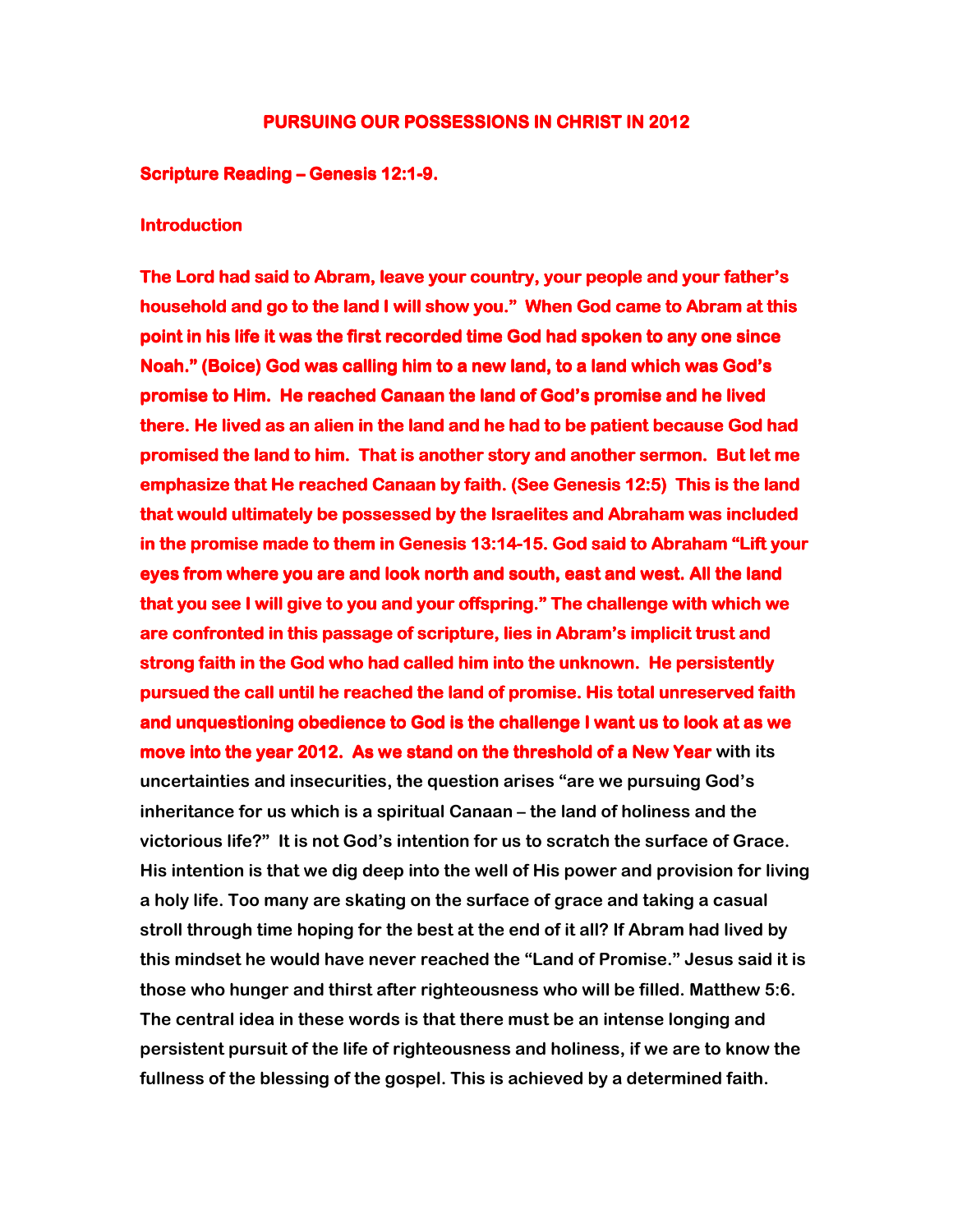# PURSUING OUR POSSESSIONS IN CHRIST IN 2012

### Scripture Reading – Genesis 12:1-9.

### **Introduction**

The Lord had said to Abram, leave your country, your people and your father's household and go to the land I will show you." When God came to Abram at this point in his life it was the first recorded time God had spoken to any one since Noah." (Boice) God was calling him to a new land, to a land which was God's  $\overline{\phantom{a}}$ promise to Him. He reached Canaan the land of God's promise and he lived there. He lived as an alien in the land and he had to be patient because God had promised the land to him. That is another story and another sermon. But let me emphasize that He reached Canaan by faith. (See Genesis 12:5) This is the land that would ultimately be possessed by the Israelites and Abraham was included in the promise made to them in Genesis 13:14-15. God said to Abraham "Lift your eyes from where you are and look north and south, east and west. All the land that you see I will give to you and your offspring." The challenge with which we are confronted in this passage of scripture, lies in Abram's implicit trust and strong faith in the God who had called him into the unknown. He persistently pursued the call until he reached the land of promise. His total unreserved faith and unquestioning obedience to God is the challenge I want us to look at as we move into the year 2012. As we stand on the threshold of a New Year with its uncertainties and insecurities, the question arises "are we pursuing God's inheritance for us which is a spiritual Canaan – the land of holiness and the victorious life?" It is not God's intention for us to scratch the surface of Grace. His intention is that we dig deep into the well of His power and provision for living a holy life. Too many are skating on the surface of grace and taking a casual stroll through time hoping for the best at the end of it all? If Abram had lived by this mindset he would have never reached the "Land of Promise." Jesus said it is those who hunger and thirst after righteousness who will be filled. Matthew 5:6. The central idea in these words is that there must be an intense longing and persistent pursuit of the life of righteousness and holiness, if we are to know the fullness of the blessing of the gospel. This is achieved by a determined faith.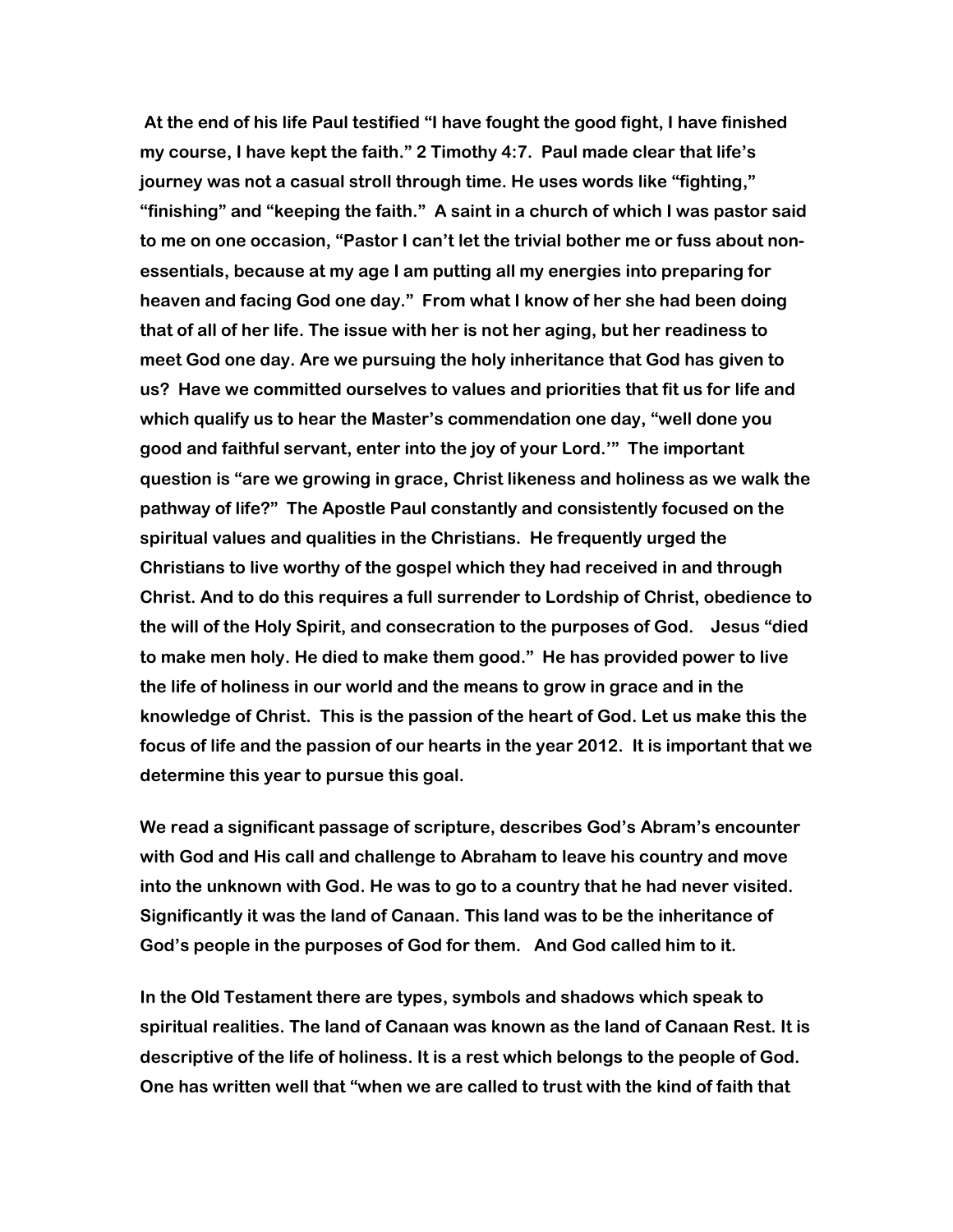At the end of his life Paul testified "I have fought the good fight, I have finished my course, I have kept the faith." 2 Timothy 4:7. Paul made clear that life's journey was not a casual stroll through time. He uses words like "fighting," "finishing" and "keeping the faith." A saint in a church of which I was pastor said to me on one occasion, "Pastor I can't let the trivial bother me or fuss about nonessentials, because at my age I am putting all my energies into preparing for heaven and facing God one day." From what I know of her she had been doing that of all of her life. The issue with her is not her aging, but her readiness to meet God one day. Are we pursuing the holy inheritance that God has given to us? Have we committed ourselves to values and priorities that fit us for life and which qualify us to hear the Master's commendation one day, "well done you good and faithful servant, enter into the joy of your Lord.'" The important question is "are we growing in grace, Christ likeness and holiness as we walk the pathway of life?" The Apostle Paul constantly and consistently focused on the spiritual values and qualities in the Christians. He frequently urged the Christians to live worthy of the gospel which they had received in and through Christ. And to do this requires a full surrender to Lordship of Christ, obedience to the will of the Holy Spirit, and consecration to the purposes of God. Jesus "died to make men holy. He died to make them good." He has provided power to live the life of holiness in our world and the means to grow in grace and in the knowledge of Christ. This is the passion of the heart of God. Let us make this the focus of life and the passion of our hearts in the year 2012. It is important that we determine this year to pursue this goal.

We read a significant passage of scripture, describes God's Abram's encounter with God and His call and challenge to Abraham to leave his country and move into the unknown with God. He was to go to a country that he had never visited. Significantly it was the land of Canaan. This land was to be the inheritance of God's people in the purposes of God for them. And God called him to it.

In the Old Testament there are types, symbols and shadows which speak to spiritual realities. The land of Canaan was known as the land of Canaan Rest. It is descriptive of the life of holiness. It is a rest which belongs to the people of God. One has written well that "when we are called to trust with the kind of faith that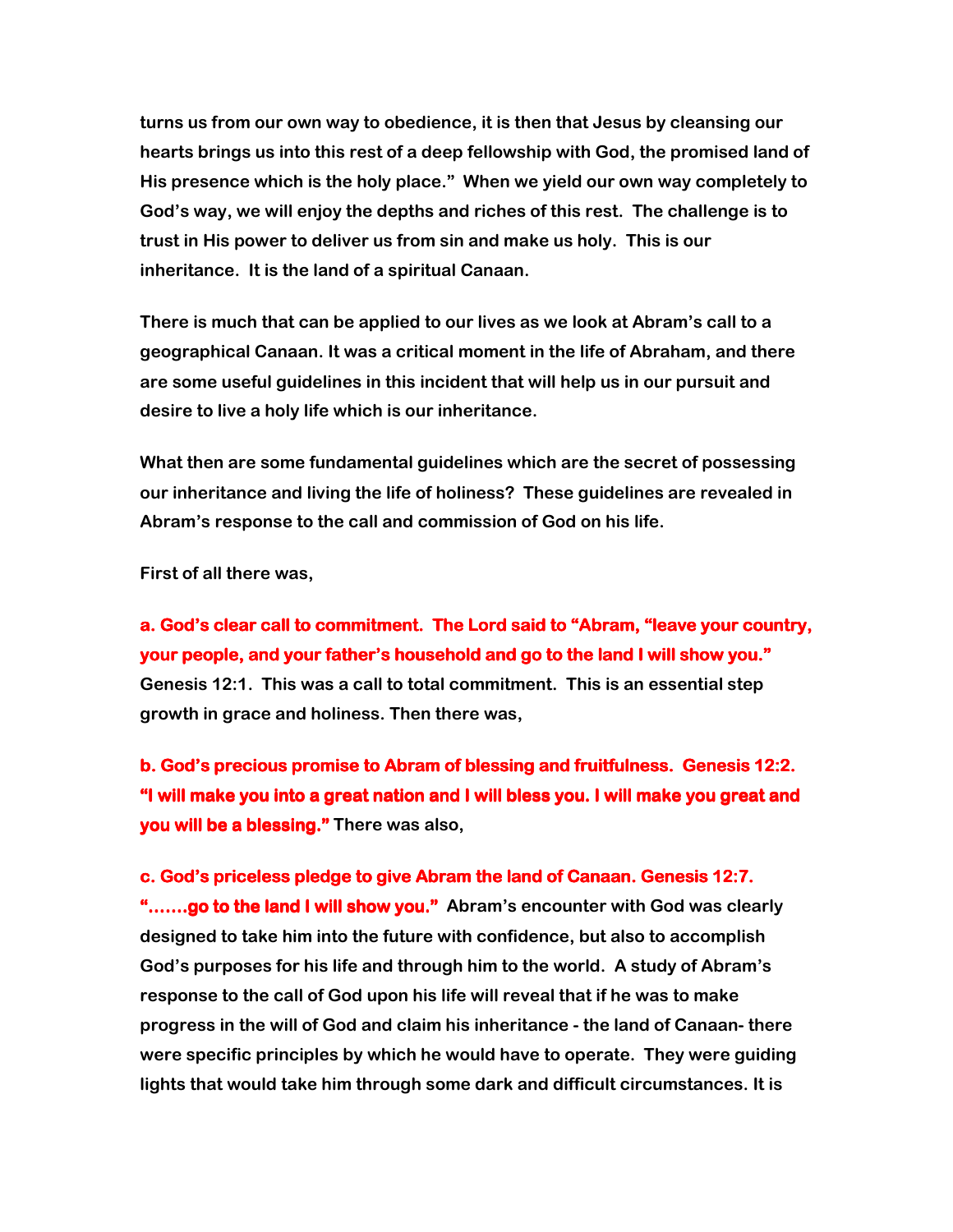turns us from our own way to obedience, it is then that Jesus by cleansing our hearts brings us into this rest of a deep fellowship with God, the promised land of His presence which is the holy place." When we yield our own way completely to God's way, we will enjoy the depths and riches of this rest. The challenge is to trust in His power to deliver us from sin and make us holy. This is our inheritance. It is the land of a spiritual Canaan.

There is much that can be applied to our lives as we look at Abram's call to a geographical Canaan. It was a critical moment in the life of Abraham, and there are some useful guidelines in this incident that will help us in our pursuit and desire to live a holy life which is our inheritance.

What then are some fundamental guidelines which are the secret of possessing our inheritance and living the life of holiness? These guidelines are revealed in Abram's response to the call and commission of God on his life.

First of all there was,

a. God's clear call to commitment. The Lord said to "Abram, "leave your country, your people, and your father's household and go to the land I will show you." Genesis 12:1. This was a call to total commitment. This is an essential step growth in grace and holiness. Then there was,

b. God's precious promise to Abram of blessing and fruitfulness. Genesis 12:2. "I will make you into a great nation and I will bless you. I will make you great and you will be a blessing." There was also,

#### c. God's priceless pledge to give Abram the land of Canaan. Genesis 12:7.

".......go to the land I will show you." Abram's encounter with God was clearly designed to take him into the future with confidence, but also to accomplish God's purposes for his life and through him to the world. A study of Abram's response to the call of God upon his life will reveal that if he was to make progress in the will of God and claim his inheritance - the land of Canaan- there were specific principles by which he would have to operate. They were guiding lights that would take him through some dark and difficult circumstances. It is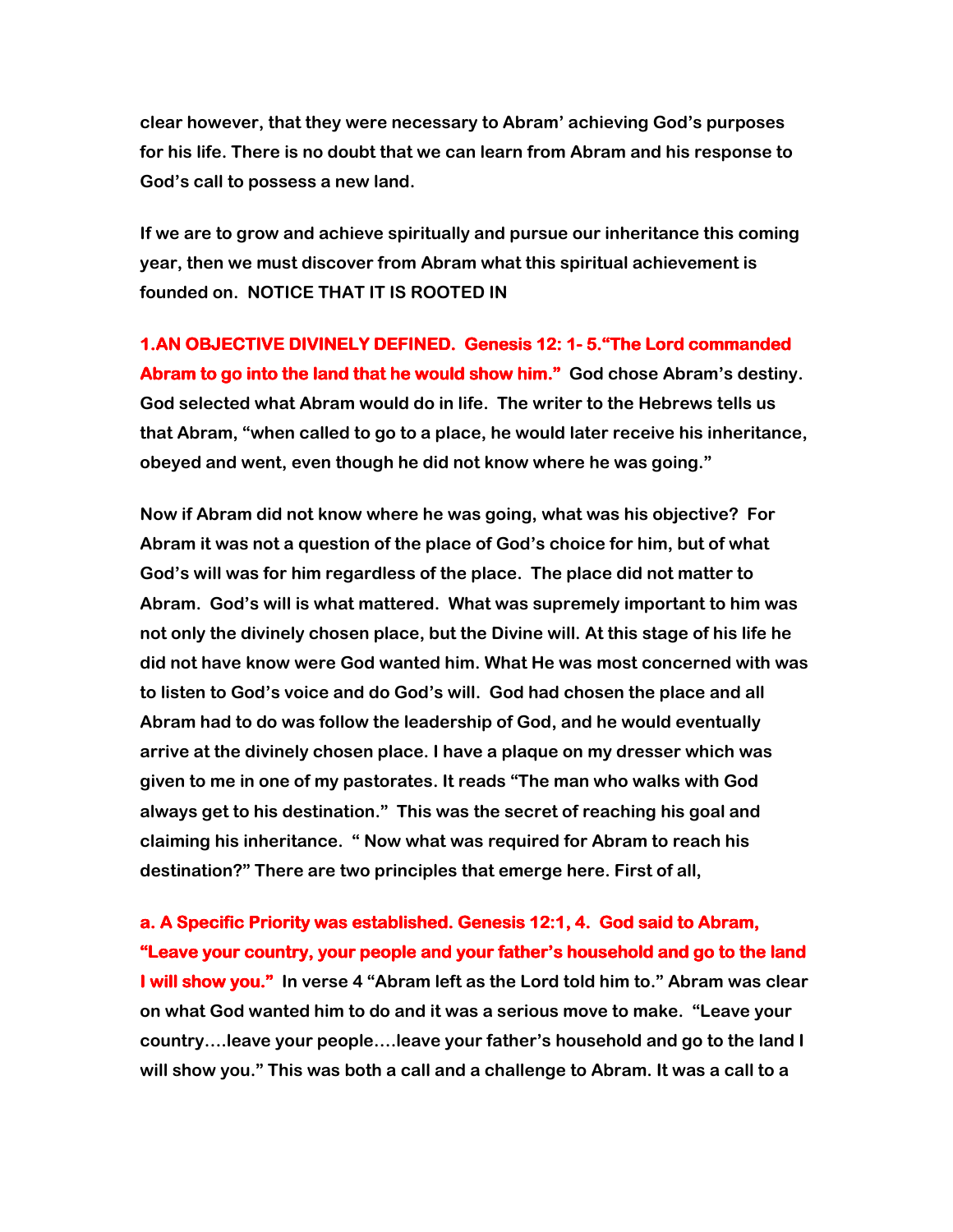clear however, that they were necessary to Abram' achieving God's purposes for his life. There is no doubt that we can learn from Abram and his response to God's call to possess a new land.

If we are to grow and achieve spiritually and pursue our inheritance this coming year, then we must discover from Abram what this spiritual achievement is founded on. NOTICE THAT IT IS ROOTED IN

1.AN OBJECTIVE DIVINELY DEFINED. Genesis 12: 1-5. "The Lord commanded Abram to go into the land that he would show him." God chose Abram's destiny. God selected what Abram would do in life. The writer to the Hebrews tells us that Abram, "when called to go to a place, he would later receive his inheritance, obeyed and went, even though he did not know where he was going."

Now if Abram did not know where he was going, what was his objective? For Abram it was not a question of the place of God's choice for him, but of what God's will was for him regardless of the place. The place did not matter to Abram. God's will is what mattered. What was supremely important to him was not only the divinely chosen place, but the Divine will. At this stage of his life he did not have know were God wanted him. What He was most concerned with was to listen to God's voice and do God's will. God had chosen the place and all Abram had to do was follow the leadership of God, and he would eventually arrive at the divinely chosen place. I have a plaque on my dresser which was given to me in one of my pastorates. It reads "The man who walks with God always get to his destination." This was the secret of reaching his goal and claiming his inheritance. " Now what was required for Abram to reach his destination?" There are two principles that emerge here. First of all,

a. A Specific Priority was established. Genesis 12:1, 4. God said to Abram, "Leave your country, your people and your father's household and go to the land **I will show you."** In verse 4 "Abram left as the Lord told him to." Abram was clear on what God wanted him to do and it was a serious move to make. "Leave your country….leave your people….leave your father's household and go to the land I will show you." This was both a call and a challenge to Abram. It was a call to a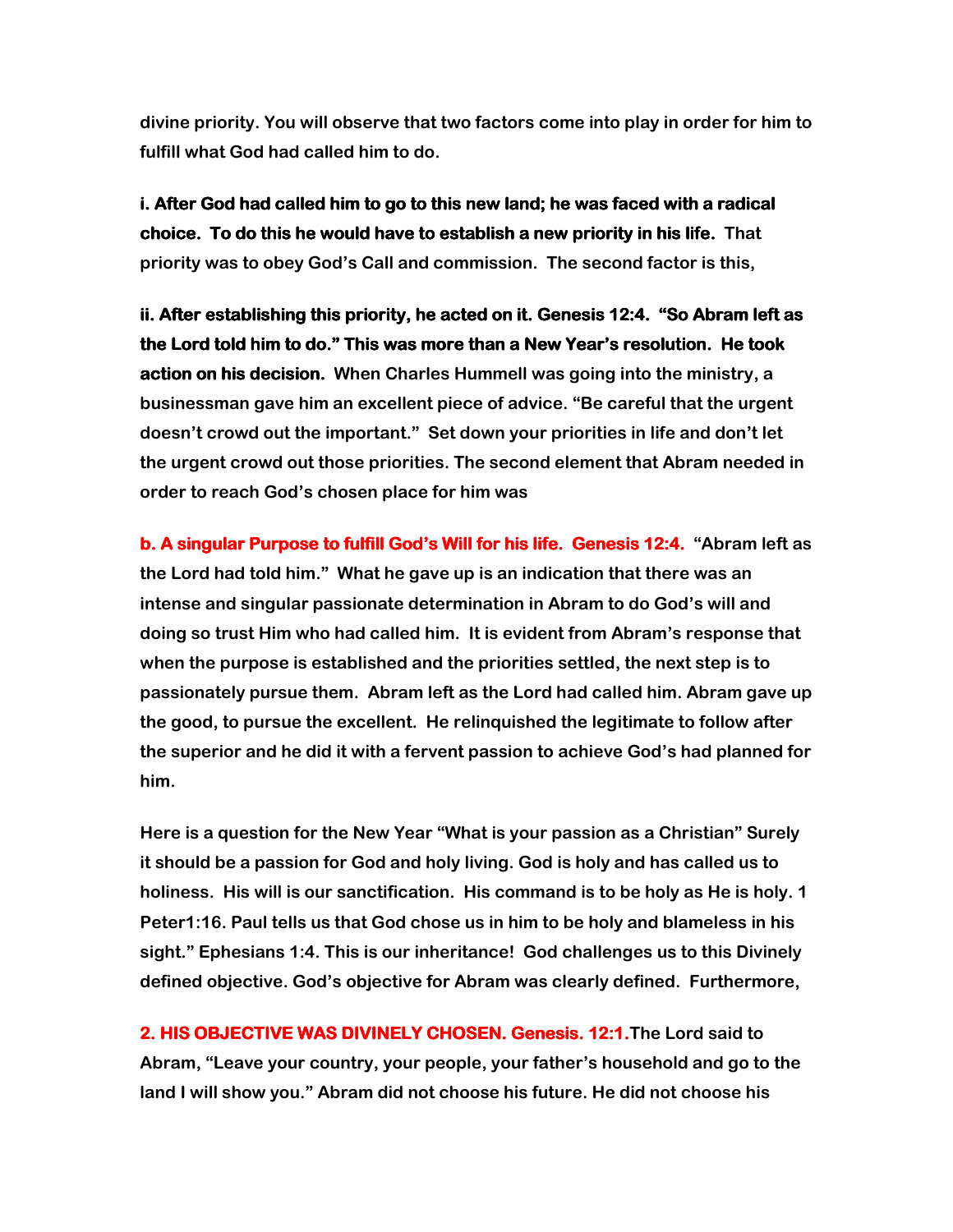divine priority. You will observe that two factors come into play in order for him to fulfill what God had called him to do.

i. After God had called him to go to this new land; he was faced with a radical choice. To do this he would have to establish a new priority in his life. That priority was to obey God's Call and commission. The second factor is this,

ii. After establishing this priority, he acted on it. Genesis 12:4. "So Abram left as the Lord told him to do." This was more than a New Year's resolution. He took action on his decision. When Charles Hummell was going into the ministry, a businessman gave him an excellent piece of advice. "Be careful that the urgent doesn't crowd out the important." Set down your priorities in life and don't let the urgent crowd out those priorities. The second element that Abram needed in order to reach God's chosen place for him was

b. A singular Purpose to fulfill God's Will for his life. Genesis 12:4. "Abram left as the Lord had told him." What he gave up is an indication that there was an intense and singular passionate determination in Abram to do God's will and doing so trust Him who had called him. It is evident from Abram's response that when the purpose is established and the priorities settled, the next step is to passionately pursue them. Abram left as the Lord had called him. Abram gave up the good, to pursue the excellent. He relinquished the legitimate to follow after the superior and he did it with a fervent passion to achieve God's had planned for him.

Here is a question for the New Year "What is your passion as a Christian" Surely it should be a passion for God and holy living. God is holy and has called us to holiness. His will is our sanctification. His command is to be holy as He is holy. 1 Peter1:16. Paul tells us that God chose us in him to be holy and blameless in his sight." Ephesians 1:4. This is our inheritance! God challenges us to this Divinely defined objective. God's objective for Abram was clearly defined. Furthermore,

2. HIS OBJECTIVE WAS DIVINELY CHOSEN. Genesis. 12:1. The Lord said to Abram, "Leave your country, your people, your father's household and go to the land I will show you." Abram did not choose his future. He did not choose his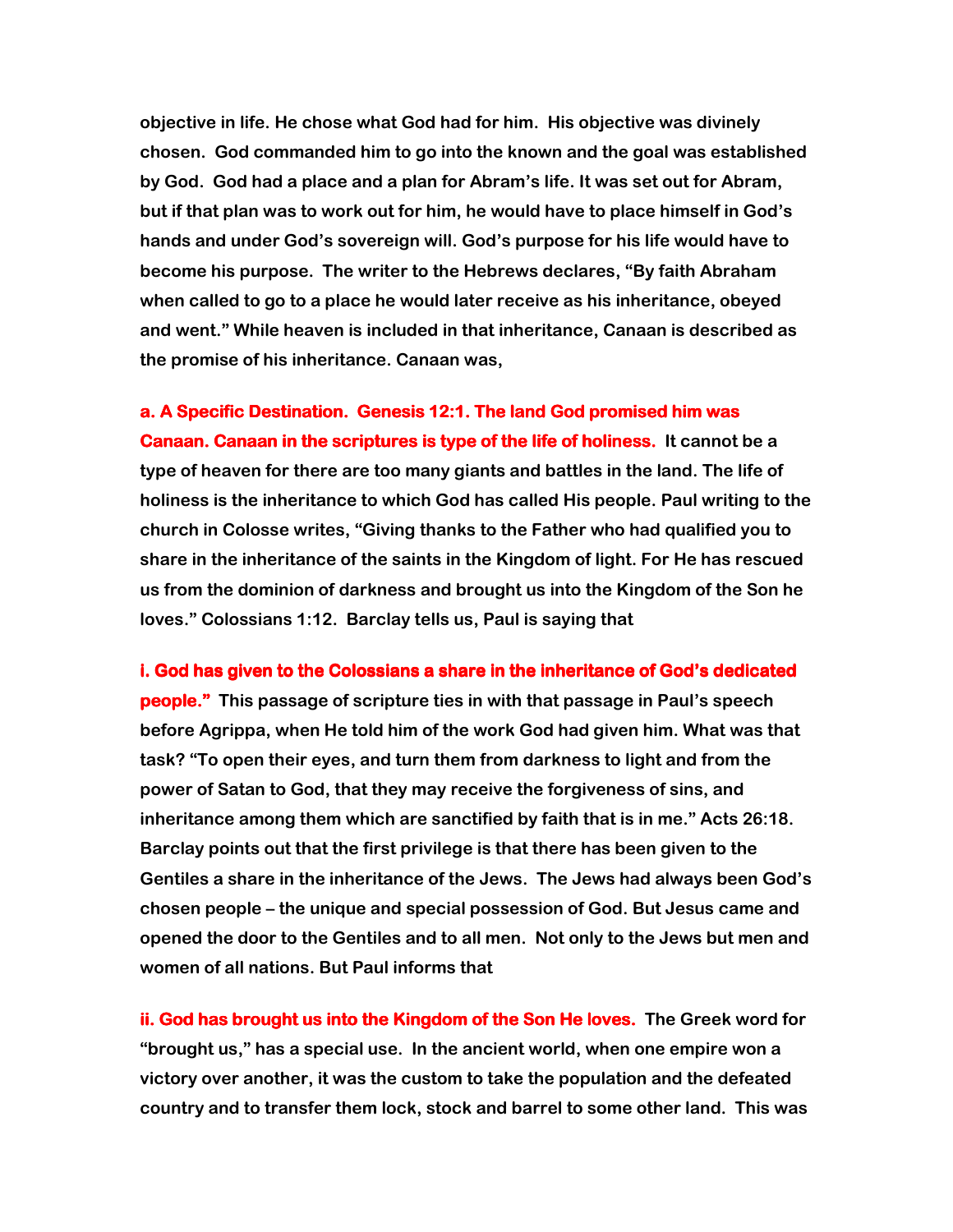objective in life. He chose what God had for him. His objective was divinely chosen. God commanded him to go into the known and the goal was established by God. God had a place and a plan for Abram's life. It was set out for Abram, but if that plan was to work out for him, he would have to place himself in God's hands and under God's sovereign will. God's purpose for his life would have to become his purpose. The writer to the Hebrews declares, "By faith Abraham when called to go to a place he would later receive as his inheritance, obeyed and went." While heaven is included in that inheritance, Canaan is described as the promise of his inheritance. Canaan was,

a. A Specific Destination. Genesis 12:1. The land God promised him was Canaan. Canaan in the scriptures is type of the life of holiness. It cannot be a type of heaven for there are too many giants and battles in the land. The life of holiness is the inheritance to which God has called His people. Paul writing to the church in Colosse writes, "Giving thanks to the Father who had qualified you to share in the inheritance of the saints in the Kingdom of light. For He has rescued us from the dominion of darkness and brought us into the Kingdom of the Son he loves." Colossians 1:12. Barclay tells us, Paul is saying that

i. God has given to the Colossians a share in the inheritance of God's dedicated **people."** This passage of scripture ties in with that passage in Paul's speech before Agrippa, when He told him of the work God had given him. What was that task? "To open their eyes, and turn them from darkness to light and from the power of Satan to God, that they may receive the forgiveness of sins, and inheritance among them which are sanctified by faith that is in me." Acts 26:18. Barclay points out that the first privilege is that there has been given to the Gentiles a share in the inheritance of the Jews. The Jews had always been God's chosen people – the unique and special possession of God. But Jesus came and opened the door to the Gentiles and to all men. Not only to the Jews but men and women of all nations. But Paul informs that

ii. God has brought us into the Kingdom of the Son He loves. The Greek word for "brought us," has a special use. In the ancient world, when one empire won a victory over another, it was the custom to take the population and the defeated country and to transfer them lock, stock and barrel to some other land. This was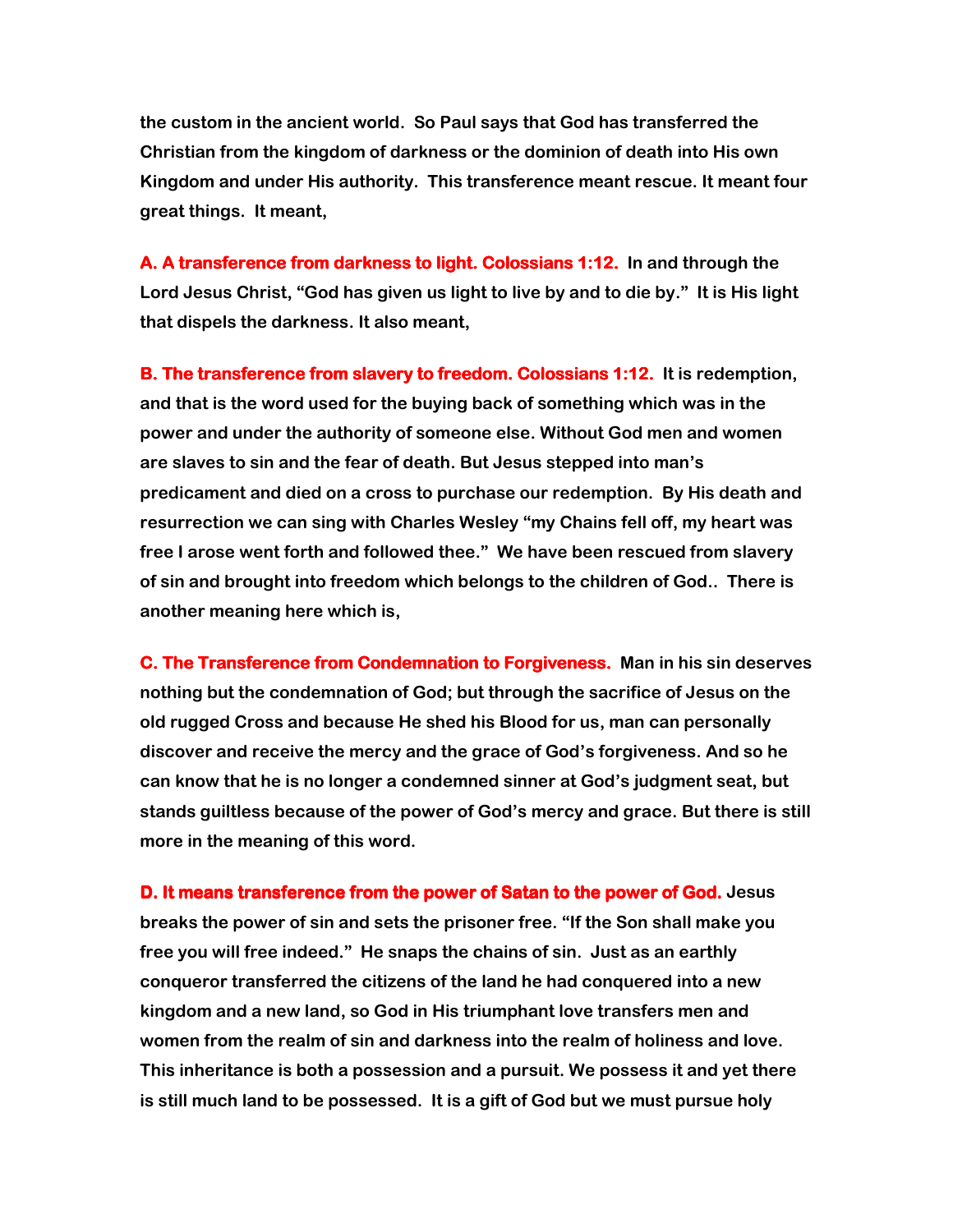the custom in the ancient world. So Paul says that God has transferred the Christian from the kingdom of darkness or the dominion of death into His own Kingdom and under His authority. This transference meant rescue. It meant four great things. It meant,

A. A transference from darkness to light. Colossians 1:12. In and through the Lord Jesus Christ, "God has given us light to live by and to die by." It is His light that dispels the darkness. It also meant,

B. The transference from slavery to freedom. Colossians 1:12. It is redemption, and that is the word used for the buying back of something which was in the power and under the authority of someone else. Without God men and women are slaves to sin and the fear of death. But Jesus stepped into man's predicament and died on a cross to purchase our redemption. By His death and resurrection we can sing with Charles Wesley "my Chains fell off, my heart was free I arose went forth and followed thee." We have been rescued from slavery of sin and brought into freedom which belongs to the children of God.. There is another meaning here which is,

C. The Transference from Condemnation to Forgiveness. Man in his sin deserves nothing but the condemnation of God; but through the sacrifice of Jesus on the old rugged Cross and because He shed his Blood for us, man can personally discover and receive the mercy and the grace of God's forgiveness. And so he can know that he is no longer a condemned sinner at God's judgment seat, but stands guiltless because of the power of God's mercy and grace. But there is still more in the meaning of this word.

D. It means transference from the power of Satan to the power of God. Jesus breaks the power of sin and sets the prisoner free. "If the Son shall make you free you will free indeed." He snaps the chains of sin. Just as an earthly conqueror transferred the citizens of the land he had conquered into a new kingdom and a new land, so God in His triumphant love transfers men and women from the realm of sin and darkness into the realm of holiness and love. This inheritance is both a possession and a pursuit. We possess it and yet there is still much land to be possessed. It is a gift of God but we must pursue holy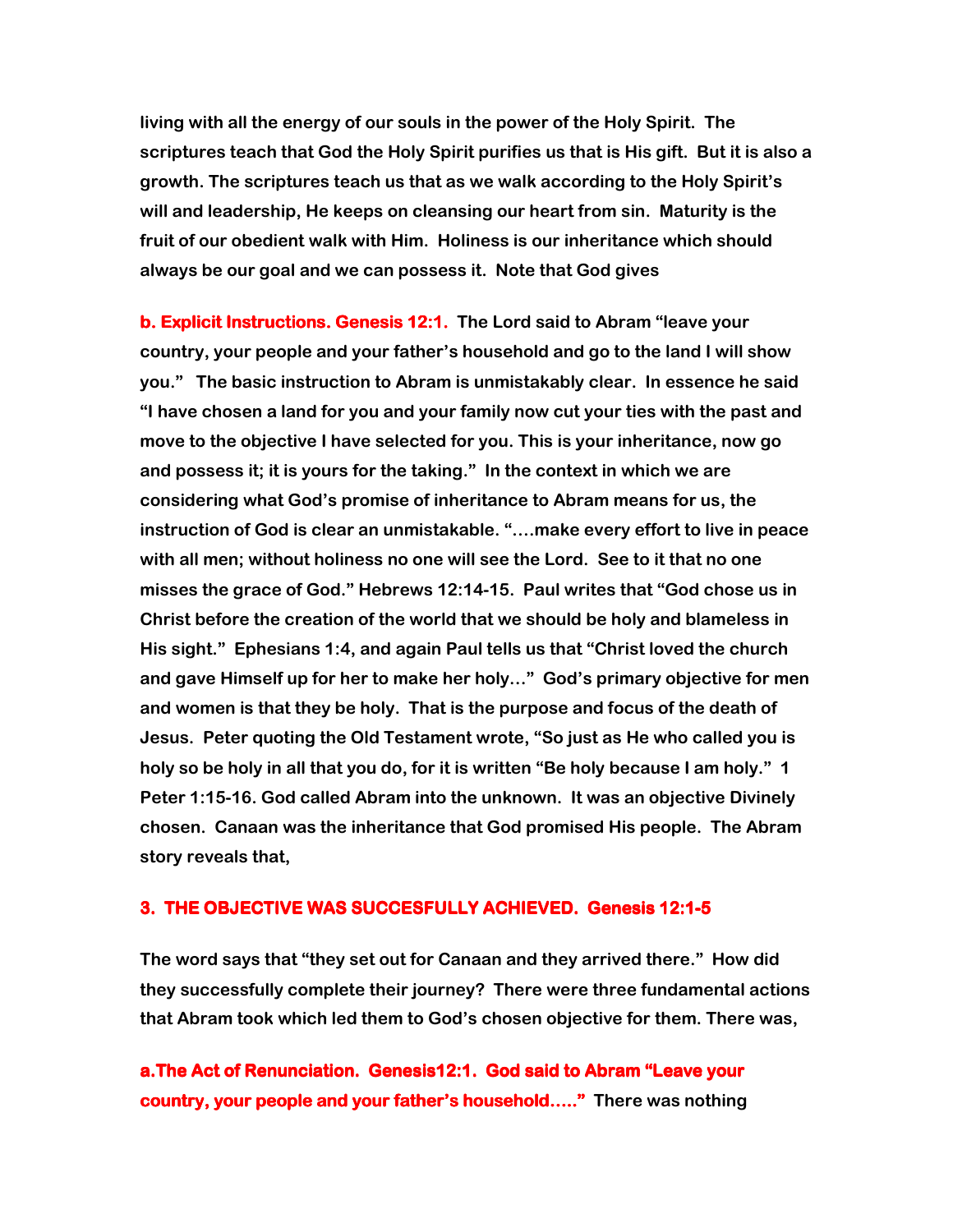living with all the energy of our souls in the power of the Holy Spirit. The scriptures teach that God the Holy Spirit purifies us that is His gift. But it is also a growth. The scriptures teach us that as we walk according to the Holy Spirit's will and leadership, He keeps on cleansing our heart from sin. Maturity is the fruit of our obedient walk with Him. Holiness is our inheritance which should always be our goal and we can possess it. Note that God gives

b. Explicit Instructions. Genesis 12:1. The Lord said to Abram "leave your country, your people and your father's household and go to the land I will show you." The basic instruction to Abram is unmistakably clear. In essence he said "I have chosen a land for you and your family now cut your ties with the past and move to the objective I have selected for you. This is your inheritance, now go and possess it; it is yours for the taking." In the context in which we are considering what God's promise of inheritance to Abram means for us, the instruction of God is clear an unmistakable. "….make every effort to live in peace with all men; without holiness no one will see the Lord. See to it that no one misses the grace of God." Hebrews 12:14-15. Paul writes that "God chose us in Christ before the creation of the world that we should be holy and blameless in His sight." Ephesians 1:4, and again Paul tells us that "Christ loved the church and gave Himself up for her to make her holy…" God's primary objective for men and women is that they be holy. That is the purpose and focus of the death of Jesus. Peter quoting the Old Testament wrote, "So just as He who called you is holy so be holy in all that you do, for it is written "Be holy because I am holy." 1 Peter 1:15-16. God called Abram into the unknown. It was an objective Divinely chosen. Canaan was the inheritance that God promised His people. The Abram story reveals that,

# 3. THE OBJECTIVE WAS SUCCESFULLY ACHIEVED. Genesis 12:1-5

The word says that "they set out for Canaan and they arrived there." How did they successfully complete their journey? There were three fundamental actions that Abram took which led them to God's chosen objective for them. There was,

a.The Act of Renunciation. Genesis12:1. God said to Abram "Leave your country, your people and your father's household….." There was nothing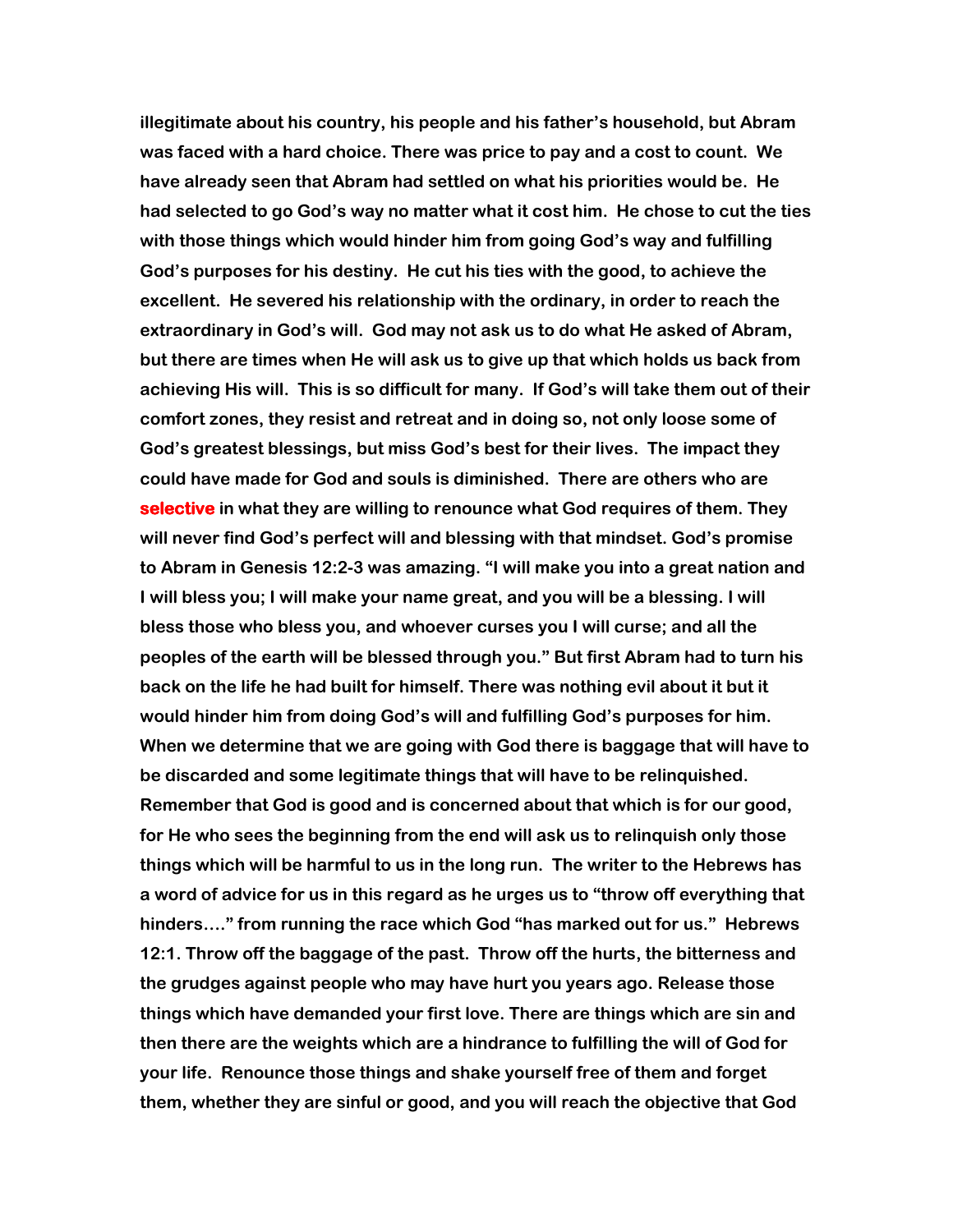illegitimate about his country, his people and his father's household, but Abram was faced with a hard choice. There was price to pay and a cost to count. We have already seen that Abram had settled on what his priorities would be. He had selected to go God's way no matter what it cost him. He chose to cut the ties with those things which would hinder him from going God's way and fulfilling God's purposes for his destiny. He cut his ties with the good, to achieve the excellent. He severed his relationship with the ordinary, in order to reach the extraordinary in God's will. God may not ask us to do what He asked of Abram, but there are times when He will ask us to give up that which holds us back from achieving His will. This is so difficult for many. If God's will take them out of their comfort zones, they resist and retreat and in doing so, not only loose some of God's greatest blessings, but miss God's best for their lives. The impact they could have made for God and souls is diminished. There are others who are selective in what they are willing to renounce what God requires of them. They will never find God's perfect will and blessing with that mindset. God's promise to Abram in Genesis 12:2-3 was amazing. "I will make you into a great nation and I will bless you; I will make your name great, and you will be a blessing. I will bless those who bless you, and whoever curses you I will curse; and all the peoples of the earth will be blessed through you." But first Abram had to turn his back on the life he had built for himself. There was nothing evil about it but it would hinder him from doing God's will and fulfilling God's purposes for him. When we determine that we are going with God there is baggage that will have to be discarded and some legitimate things that will have to be relinquished. Remember that God is good and is concerned about that which is for our good, for He who sees the beginning from the end will ask us to relinquish only those things which will be harmful to us in the long run. The writer to the Hebrews has a word of advice for us in this regard as he urges us to "throw off everything that hinders…." from running the race which God "has marked out for us." Hebrews 12:1. Throw off the baggage of the past. Throw off the hurts, the bitterness and the grudges against people who may have hurt you years ago. Release those things which have demanded your first love. There are things which are sin and then there are the weights which are a hindrance to fulfilling the will of God for your life. Renounce those things and shake yourself free of them and forget them, whether they are sinful or good, and you will reach the objective that God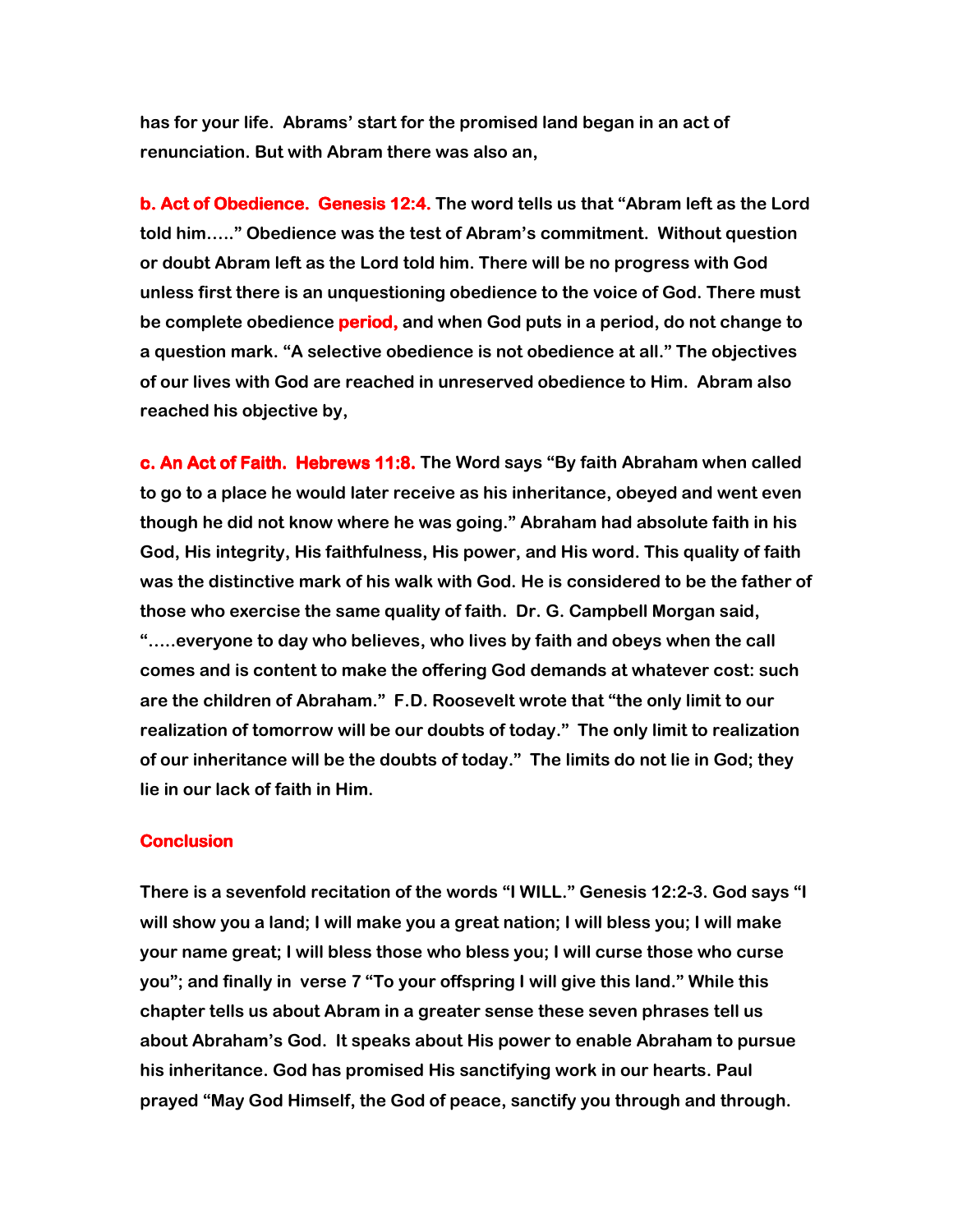has for your life. Abrams' start for the promised land began in an act of renunciation. But with Abram there was also an,

b. Act of Obedience. Genesis 12:4. The word tells us that "Abram left as the Lord told him….." Obedience was the test of Abram's commitment. Without question or doubt Abram left as the Lord told him. There will be no progress with God unless first there is an unquestioning obedience to the voice of God. There must be complete obedience **period,** and when God puts in a period, do not change to a question mark. "A selective obedience is not obedience at all." The objectives of our lives with God are reached in unreserved obedience to Him. Abram also reached his objective by,

c. An Act of Faith. Hebrews 11:8. The Word says "By faith Abraham when called to go to a place he would later receive as his inheritance, obeyed and went even though he did not know where he was going." Abraham had absolute faith in his God, His integrity, His faithfulness, His power, and His word. This quality of faith was the distinctive mark of his walk with God. He is considered to be the father of those who exercise the same quality of faith. Dr. G. Campbell Morgan said, "…..everyone to day who believes, who lives by faith and obeys when the call comes and is content to make the offering God demands at whatever cost: such are the children of Abraham." F.D. Roosevelt wrote that "the only limit to our realization of tomorrow will be our doubts of today." The only limit to realization of our inheritance will be the doubts of today." The limits do not lie in God; they lie in our lack of faith in Him.

# **Conclusion**

There is a sevenfold recitation of the words "I WILL." Genesis 12:2-3. God says "I will show you a land; I will make you a great nation; I will bless you; I will make your name great; I will bless those who bless you; I will curse those who curse you"; and finally in verse 7 "To your offspring I will give this land." While this chapter tells us about Abram in a greater sense these seven phrases tell us about Abraham's God. It speaks about His power to enable Abraham to pursue his inheritance. God has promised His sanctifying work in our hearts. Paul prayed "May God Himself, the God of peace, sanctify you through and through.